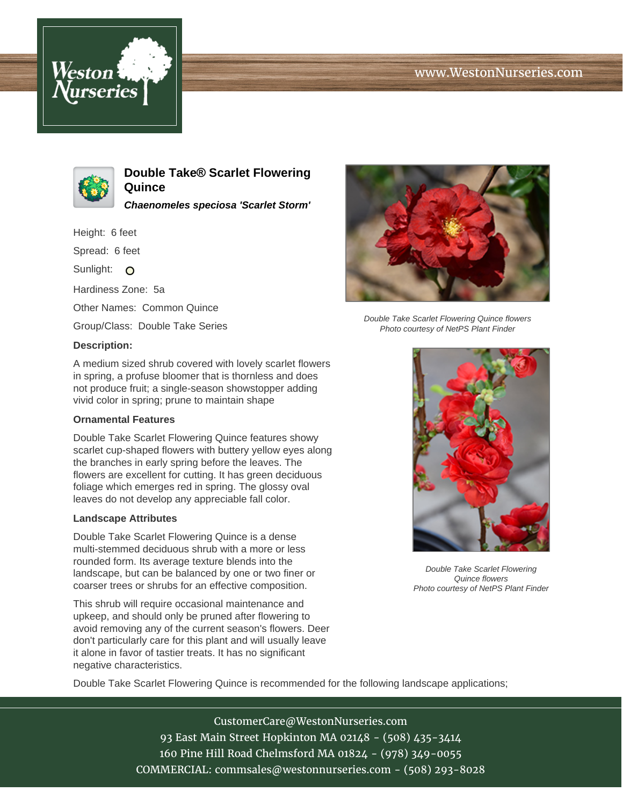# www.WestonNurseries.com





**Double Take® Scarlet Flowering Quince**

**Chaenomeles speciosa 'Scarlet Storm'**

Height: 6 feet

Spread: 6 feet

Sunlight: O

Hardiness Zone: 5a

Other Names: Common Quince

Group/Class: Double Take Series

### **Description:**

A medium sized shrub covered with lovely scarlet flowers in spring, a profuse bloomer that is thornless and does not produce fruit; a single-season showstopper adding vivid color in spring; prune to maintain shape

## **Ornamental Features**

Double Take Scarlet Flowering Quince features showy scarlet cup-shaped flowers with buttery yellow eyes along the branches in early spring before the leaves. The flowers are excellent for cutting. It has green deciduous foliage which emerges red in spring. The glossy oval leaves do not develop any appreciable fall color.

### **Landscape Attributes**

Double Take Scarlet Flowering Quince is a dense multi-stemmed deciduous shrub with a more or less rounded form. Its average texture blends into the landscape, but can be balanced by one or two finer or coarser trees or shrubs for an effective composition.

This shrub will require occasional maintenance and upkeep, and should only be pruned after flowering to avoid removing any of the current season's flowers. Deer don't particularly care for this plant and will usually leave it alone in favor of tastier treats. It has no significant negative characteristics.



Double Take Scarlet Flowering Quince flowers Photo courtesy of NetPS Plant Finder



Double Take Scarlet Flowering Quince flowers Photo courtesy of NetPS Plant Finder

Double Take Scarlet Flowering Quince is recommended for the following landscape applications;

CustomerCare@WestonNurseries.com 93 East Main Street Hopkinton MA 02148 - (508) 435-3414 160 Pine Hill Road Chelmsford MA 01824 - (978) 349-0055 COMMERCIAL: commsales@westonnurseries.com - (508) 293-8028